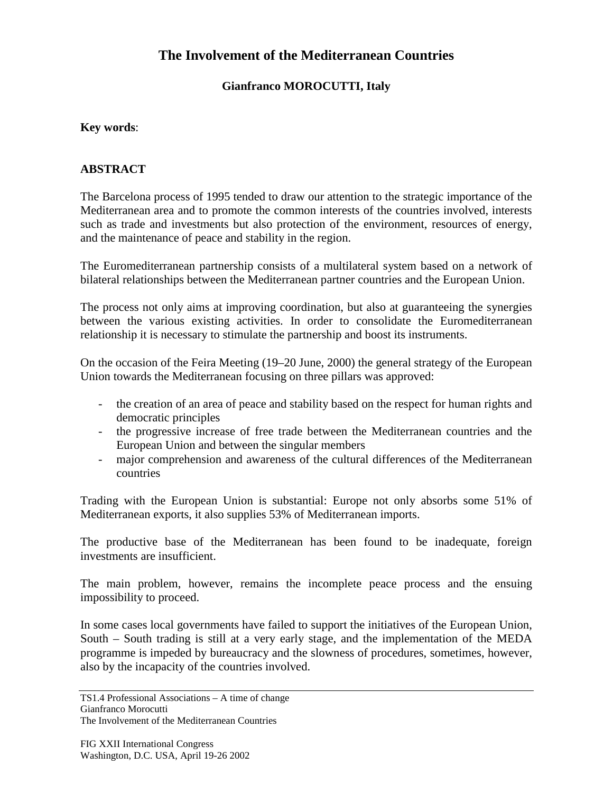# **The Involvement of the Mediterranean Countries**

### **Gianfranco MOROCUTTI, Italy**

#### **Key words**:

#### **ABSTRACT**

The Barcelona process of 1995 tended to draw our attention to the strategic importance of the Mediterranean area and to promote the common interests of the countries involved, interests such as trade and investments but also protection of the environment, resources of energy, and the maintenance of peace and stability in the region.

The Euromediterranean partnership consists of a multilateral system based on a network of bilateral relationships between the Mediterranean partner countries and the European Union.

The process not only aims at improving coordination, but also at guaranteeing the synergies between the various existing activities. In order to consolidate the Euromediterranean relationship it is necessary to stimulate the partnership and boost its instruments.

On the occasion of the Feira Meeting (19–20 June, 2000) the general strategy of the European Union towards the Mediterranean focusing on three pillars was approved:

- the creation of an area of peace and stability based on the respect for human rights and democratic principles
- the progressive increase of free trade between the Mediterranean countries and the European Union and between the singular members
- major comprehension and awareness of the cultural differences of the Mediterranean countries

Trading with the European Union is substantial: Europe not only absorbs some 51% of Mediterranean exports, it also supplies 53% of Mediterranean imports.

The productive base of the Mediterranean has been found to be inadequate, foreign investments are insufficient.

The main problem, however, remains the incomplete peace process and the ensuing impossibility to proceed.

In some cases local governments have failed to support the initiatives of the European Union, South – South trading is still at a very early stage, and the implementation of the MEDA programme is impeded by bureaucracy and the slowness of procedures, sometimes, however, also by the incapacity of the countries involved.